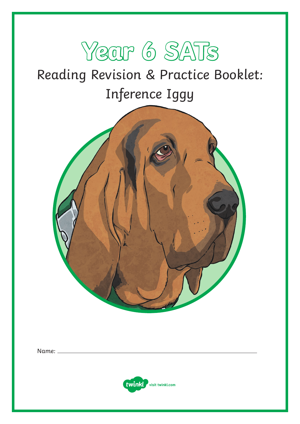

# Reading Revision & Practice Booklet: Inference Iggy



Name:

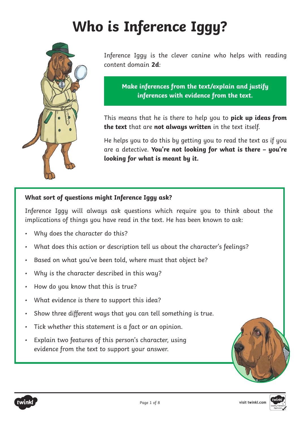# **Who is Inference Iggy?**



Inference Iggy is the clever canine who helps with reading content domain **2d**:

**Make inferences from the text/explain and justify inferences with evidence from the text.**

This means that he is there to help you to **pick up ideas from the text** that are **not always written** in the text itself.

He helps you to do this by getting you to read the text as if you are a detective. **You're not looking for what is there – you're looking for what is meant by it.**

#### **What sort of questions might Inference Iggy ask?**

Inference Iggy will always ask questions which require you to think about the implications of things you have read in the text. He has been known to ask:

- Why does the character do this?
- What does this action or description tell us about the character's feelings?
- Based on what you've been told, where must that object be?
- Why is the character described in this way?
- How do you know that this is true?
- What evidence is there to support this idea?
- Show three different ways that you can tell something is true.
- Tick whether this statement is a fact or an opinion.
- Explain two features of this person's character, using evidence from the text to support your answer.



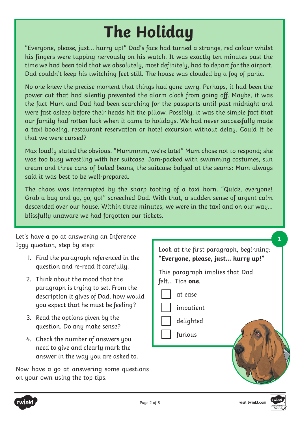# **The Holiday**

"Everyone, please, just... hurry up!" Dad's face had turned a strange, red colour whilst his fingers were tapping nervously on his watch. It was exactly ten minutes past the time we had been told that we absolutely, most definitely, had to depart for the airport. Dad couldn't keep his twitching feet still. The house was clouded by a fog of panic.

No one knew the precise moment that things had gone awry. Perhaps, it had been the power cut that had silently prevented the alarm clock from going off. Maybe, it was the fact Mum and Dad had been searching for the passports until past midnight and were fast asleep before their heads hit the pillow. Possibly, it was the simple fact that our family had rotten luck when it came to holidays. We had never successfully made a taxi booking, restaurant reservation or hotel excursion without delay. Could it be that we were cursed?

Max loudly stated the obvious. "Mummmm, we're late!" Mum chose not to respond; she was too busy wrestling with her suitcase. Jam-packed with swimming costumes, sun cream and three cans of baked beans, the suitcase bulged at the seams: Mum always said it was best to be well-prepared.

The chaos was interrupted by the sharp tooting of a taxi horn. "Quick, everyone! Grab a bag and go, go, go!" screeched Dad. With that, a sudden sense of urgent calm descended over our house. Within three minutes, we were in the taxi and on our way… blissfully unaware we had forgotten our tickets.

Let's have a go at answering an Inference Iggy question, step by step:

- 1. Find the paragraph referenced in the question and re-read it carefully.
- 2. Think about the mood that the paragraph is trying to set. From the description it gives of Dad, how would you expect that he must be feeling?
- 3. Read the options given by the question. Do any make sense?
- 4. Check the number of answers you need to give and clearly mark the answer in the way you are asked to.

Now have a go at answering some questions on your own using the top tips.

Look at the first paragraph, beginning: **"Everyone, please, just... hurry up!"** This paragraph implies that Dad felt… Tick **one**. at ease impatient delighted furious **1**



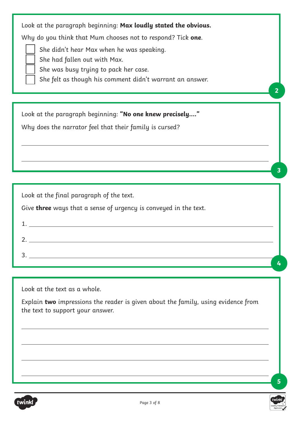|  |  |  |  |  | Look at the paragraph beginning: Max loudly stated the obvious. |
|--|--|--|--|--|-----------------------------------------------------------------|
|--|--|--|--|--|-----------------------------------------------------------------|

Why do you think that Mum chooses not to respond? Tick **one**.

She didn't hear Max when he was speaking.

She had fallen out with Max.

She was busy trying to pack her case.

She felt as though his comment didn't warrant an answer.

Look at the paragraph beginning: **"No one knew precisely…."**

Why does the narrator feel that their family is cursed?

Look at the final paragraph of the text.

Give **three** ways that a sense of urgency is conveyed in the text.

Look at the text as a whole.

Explain **two** impressions the reader is given about the family, using evidence from the text to support your answer.



**5**

**2**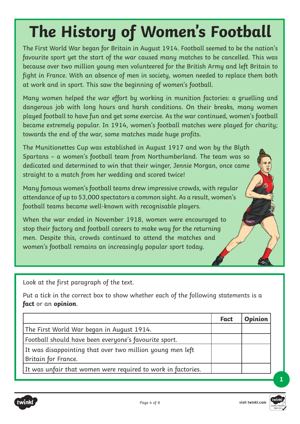# **The History of Women's Football**

The First World War began for Britain in August 1914. Football seemed to be the nation's favourite sport yet the start of the war caused many matches to be cancelled. This was because over two million young men volunteered for the British Army and left Britain to fight in France. With an absence of men in society, women needed to replace them both at work and in sport. This saw the beginning of women's football.

Many women helped the war effort by working in munition factories: a gruelling and dangerous job with long hours and harsh conditions. On their breaks, many women played football to have fun and get some exercise. As the war continued, women's football became extremely popular. In 1914, women's football matches were played for charity; towards the end of the war, some matches made huge profits.

The Munitionettes Cup was established in August 1917 and won by the Blyth Spartans – a women's football team from Northumberland. The team was so dedicated and determined to win that their winger, Jennie Morgan, once came straight to a match from her wedding and scored twice!

Many famous women's football teams drew impressive crowds, with regular attendance of up to 53,000 spectators a common sight. As a result, women's football teams became well-known with recognisable players.

When the war ended in November 1918, women were encouraged to stop their factory and football careers to make way for the returning men. Despite this, crowds continued to attend the matches and women's football remains an increasingly popular sport today.

Look at the first paragraph of the text.

Put a tick in the correct box to show whether each of the following statements is a **fact** or an **opinion**.

|                                                                                  | Fact | <b>Opinion</b> |
|----------------------------------------------------------------------------------|------|----------------|
| The First World War began in August 1914.                                        |      |                |
| Football should have been everyone's favourite sport.                            |      |                |
| It was disappointing that over two million young men left<br>Britain for France. |      |                |
| It was unfair that women were required to work in factories.                     |      |                |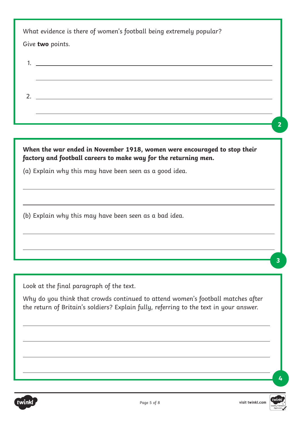| What evidence is there of women's football being extremely popular? |  |
|---------------------------------------------------------------------|--|
| Give <b>two</b> points.                                             |  |

1. 2.

**When the war ended in November 1918, women were encouraged to stop their factory and football careers to make way for the returning men.**

(a) Explain why this may have been seen as a good idea.

(b) Explain why this may have been seen as a bad idea.

Look at the final paragraph of the text.

Why do you think that crowds continued to attend women's football matches after the return of Britain's soldiers? Explain fully, referring to the text in your answer.



**3**

**4**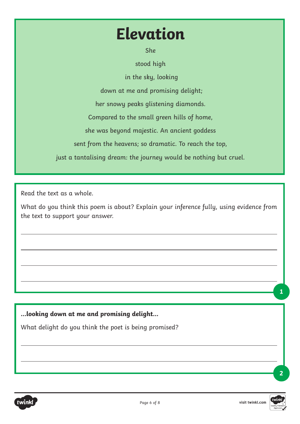# **Elevation**

She

stood high

in the sky, looking

down at me and promising delight;

her snowy peaks glistening diamonds.

Compared to the small green hills of home,

she was beyond majestic. An ancient goddess

sent from the heavens; so dramatic. To reach the top,

just a tantalising dream: the journey would be nothing but cruel.

Read the text as a whole.

What do you think this poem is about? Explain your inference fully, using evidence from the text to support your answer.

**…looking down at me and promising delight…** 

What delight do you think the poet is being promised?



**1**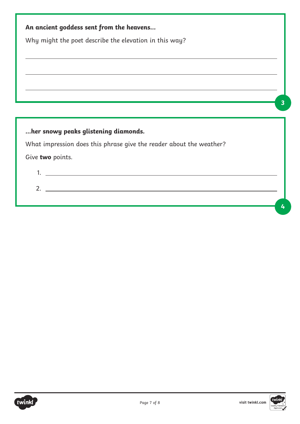|                                      | Why might the poet describe the elevation in this way?              |  |
|--------------------------------------|---------------------------------------------------------------------|--|
|                                      |                                                                     |  |
|                                      |                                                                     |  |
|                                      |                                                                     |  |
|                                      |                                                                     |  |
|                                      |                                                                     |  |
|                                      |                                                                     |  |
| her snowy peaks glistening diamonds. |                                                                     |  |
|                                      |                                                                     |  |
|                                      | What impression does this phrase give the reader about the weather? |  |

2.

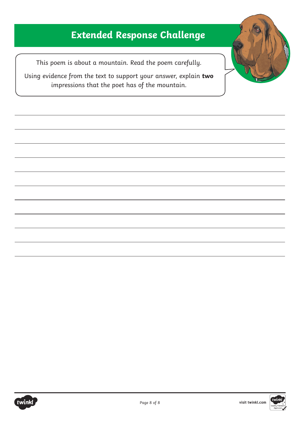## **Extended Response Challenge**

This poem is about a mountain. Read the poem carefully.

Using evidence from the text to support your answer, explain **two**  impressions that the poet has of the mountain.



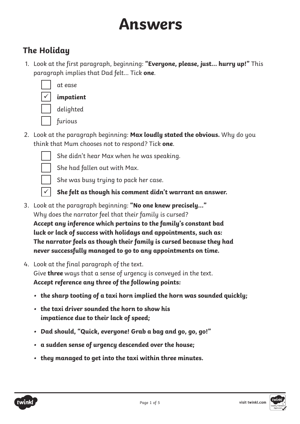# **Answers**

## **The Holiday**

1. Look at the first paragraph, beginning: **"Everyone, please, just... hurry up!"** This paragraph implies that Dad felt… Tick **one**.



 at ease **impatient**

delighted

- furious
- 2. Look at the paragraph beginning: **Max loudly stated the obvious.** Why do you think that Mum chooses not to respond? Tick **one**.



 She didn't hear Max when he was speaking. She had fallen out with Max.

 $\checkmark$ 

She was busy trying to pack her case.

**She felt as though his comment didn't warrant an answer.**

- 3. Look at the paragraph beginning: **"No one knew precisely…"** Why does the narrator feel that their family is cursed? **Accept any inference which pertains to the family's constant bad luck or lack of success with holidays and appointments, such as: The narrator feels as though their family is cursed because they had never successfully managed to go to any appointments on time.**
- 4. Look at the final paragraph of the text. Give **three** ways that a sense of urgency is conveyed in the text. **Accept reference any three of the following points:**
	- **• the sharp tooting of a taxi horn implied the horn was sounded quickly;**
	- **• the taxi driver sounded the horn to show his impatience due to their lack of speed;**
	- **• Dad should, "Quick, everyone! Grab a bag and go, go, go!"**
	- **• a sudden sense of urgency descended over the house;**
	- **• they managed to get into the taxi within three minutes.**

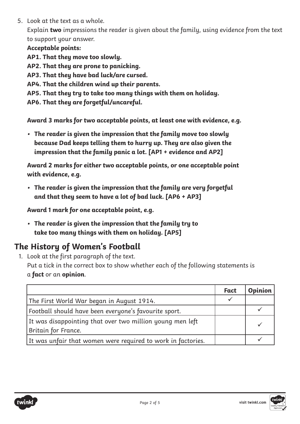5. Look at the text as a whole.

Explain **two** impressions the reader is given about the family, using evidence from the text to support your answer.

#### **Acceptable points:**

**AP1. That they move too slowly.**

**AP2. That they are prone to panicking.** 

- **AP3. That they have bad luck/are cursed.**
- **AP4. That the children wind up their parents.**
- **AP5. That they try to take too many things with them on holiday.**
- **AP6. That they are forgetful/uncareful.**

**Award 3 marks for two acceptable points, at least one with evidence, e.g.** 

**• The reader is given the impression that the family move too slowly because Dad keeps telling them to hurry up. They are also given the impression that the family panic a lot. [AP1 + evidence and AP2]**

**Award 2 marks for either two acceptable points, or one acceptable point with evidence, e.g.** 

**• The reader is given the impression that the family are very forgetful and that they seem to have a lot of bad luck. [AP6 + AP3]**

**Award 1 mark for one acceptable point, e.g.** 

**• The reader is given the impression that the family try to take too many things with them on holiday. [AP5]**

## **The History of Women's Football**

1. Look at the first paragraph of the text. Put a tick in the correct box to show whether each of the following statements is a **fact** or an **opinion**.

|                                                              | Fact | <b>Opinion</b> |
|--------------------------------------------------------------|------|----------------|
| The First World War began in August 1914.                    |      |                |
| Football should have been everyone's favourite sport.        |      |                |
| It was disappointing that over two million young men left    |      |                |
| Britain for France.                                          |      |                |
| It was unfair that women were required to work in factories. |      |                |

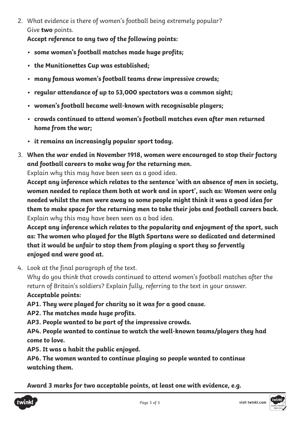2. What evidence is there of women's football being extremely popular? Give **two** points.

**Accept reference to any two of the following points:**

- **• some women's football matches made huge profits;**
- **• the Munitionettes Cup was established;**
- **• many famous women's football teams drew impressive crowds;**
- **• regular attendance of up to 53,000 spectators was a common sight;**
- **• women's football became well-known with recognisable players;**
- **• crowds continued to attend women's football matches even after men returned home from the war;**
- **• it remains an increasingly popular sport today.**
- 3. **When the war ended in November 1918, women were encouraged to stop their factory and football careers to make way for the returning men.**

Explain why this may have been seen as a good idea.

**Accept any inference which relates to the sentence 'with an absence of men in society, women needed to replace them both at work and in sport', such as: Women were only needed whilst the men were away so some people might think it was a good idea for them to make space for the returning men to take their jobs and football careers back.** Explain why this may have been seen as a bad idea.

**Accept any inference which relates to the popularity and enjoyment of the sport, such as: The women who played for the Blyth Spartans were so dedicated and determined that it would be unfair to stop them from playing a sport they so fervently enjoyed and were good at.**

4. Look at the final paragraph of the text.

Why do you think that crowds continued to attend women's football matches after the return of Britain's soldiers? Explain fully, referring to the text in your answer. **Acceptable points:**

**AP1. They were played for charity so it was for a good cause.**

**AP2. The matches made huge profits.** 

**AP3. People wanted to be part of the impressive crowds.**

**AP4. People wanted to continue to watch the well-known teams/players they had come to love.**

**AP5. It was a habit the public enjoyed.**

**AP6. The women wanted to continue playing so people wanted to continue watching them.** 

**Award 3 marks for two acceptable points, at least one with evidence, e.g.** 



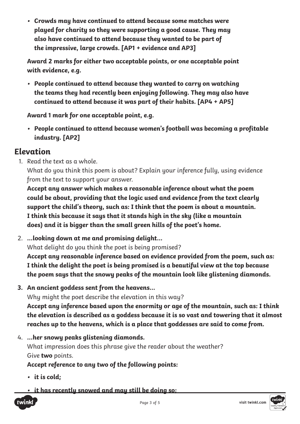**• Crowds may have continued to attend because some matches were played for charity so they were supporting a good cause. They may also have continued to attend because they wanted to be part of the impressive, large crowds. [AP1 + evidence and AP3]**

**Award 2 marks for either two acceptable points, or one acceptable point with evidence, e.g.** 

**• People continued to attend because they wanted to carry on watching the teams they had recently been enjoying following. They may also have continued to attend because it was part of their habits. [AP4 + AP5]**

**Award 1 mark for one acceptable point, e.g.** 

**• People continued to attend because women's football was becoming a profitable industry. [AP2]**

### **Elevation**

1. Read the text as a whole.

What do you think this poem is about? Explain your inference fully, using evidence from the text to support your answer.

**Accept any answer which makes a reasonable inference about what the poem could be about, providing that the logic used and evidence from the text clearly support the child's theory, such as: I think that the poem is about a mountain. I think this because it says that it stands high in the sky (like a mountain does) and it is bigger than the small green hills of the poet's home.**

- 2. **…looking down at me and promising delight…**  What delight do you think the poet is being promised? **Accept any reasonable inference based on evidence provided from the poem, such as: I think the delight the poet is being promised is a beautiful view at the top because the poem says that the snowy peaks of the mountain look like glistening diamonds.**
- **3. An ancient goddess sent from the heavens…**  Why might the poet describe the elevation in this way? **Accept any inference based upon the enormity or age of the mountain, such as: I think the elevation is described as a goddess because it is so vast and towering that it almost reaches up to the heavens, which is a place that goddesses are said to come from.**
- 4. **…her snowy peaks glistening diamonds.**  What impression does this phrase give the reader about the weather? Give **two** points.

**Accept reference to any two of the following points:**

- **• it is cold;**
- **• it has recently snowed and may still be doing so;**